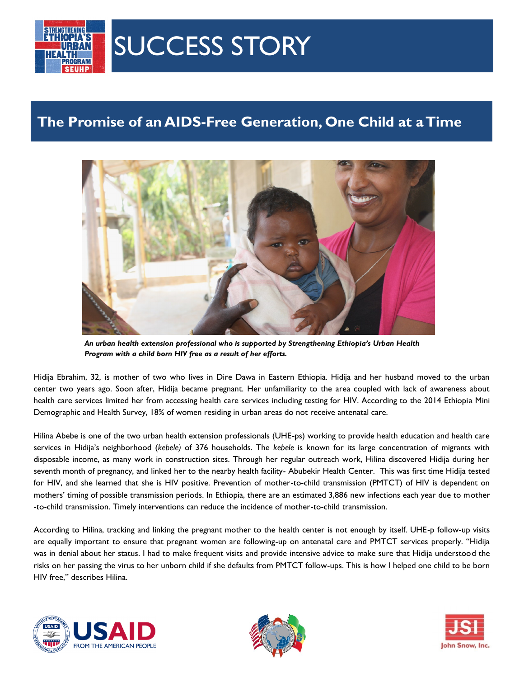

## SUCCESS STORY

## **The Promise of an AIDS-Free Generation, One Child at a Time**



*An urban health extension professional who is supported by Strengthening Ethiopia's Urban Health Program with a child born HIV free as a result of her efforts.*

Hidija Ebrahim, 32, is mother of two who lives in Dire Dawa in Eastern Ethiopia. Hidija and her husband moved to the urban center two years ago. Soon after, Hidija became pregnant. Her unfamiliarity to the area coupled with lack of awareness about health care services limited her from accessing health care services including testing for HIV. According to the 2014 Ethiopia Mini Demographic and Health Survey, 18% of women residing in urban areas do not receive antenatal care.

Hilina Abebe is one of the two urban health extension professionals (UHE-ps) working to provide health education and health care services in Hidija's neighborhood (*kebele)* of 376 households. The *kebele* is known for its large concentration of migrants with disposable income, as many work in construction sites. Through her regular outreach work, Hilina discovered Hidija during her seventh month of pregnancy, and linked her to the nearby health facility- Abubekir Health Center. This was first time Hidija tested for HIV, and she learned that she is HIV positive. Prevention of mother-to-child transmission (PMTCT) of HIV is dependent on mothers' timing of possible transmission periods. In Ethiopia, there are an estimated 3,886 new infections each year due to mother -to-child transmission. Timely interventions can reduce the incidence of mother-to-child transmission.

According to Hilina, tracking and linking the pregnant mother to the health center is not enough by itself. UHE-p follow-up visits are equally important to ensure that pregnant women are following-up on antenatal care and PMTCT services properly. "Hidija was in denial about her status. I had to make frequent visits and provide intensive advice to make sure that Hidija understood the risks on her passing the virus to her unborn child if she defaults from PMTCT follow-ups. This is how I helped one child to be born HIV free," describes Hilina.